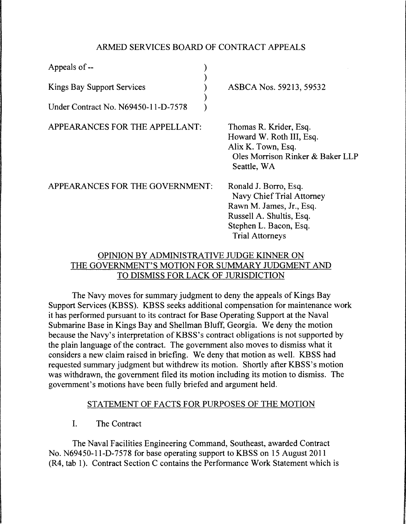# ARMED SERVICES BOARD OF CONTRACT APPEALS

| Appeals of --                       |                                                                                                                                                                |
|-------------------------------------|----------------------------------------------------------------------------------------------------------------------------------------------------------------|
| <b>Kings Bay Support Services</b>   | ASBCA Nos. 59213, 59532                                                                                                                                        |
| Under Contract No. N69450-11-D-7578 |                                                                                                                                                                |
| APPEARANCES FOR THE APPELLANT:      | Thomas R. Krider, Esq.<br>Howard W. Roth III, Esq.<br>Alix K. Town, Esq.<br>Oles Morrison Rinker & Baker LLP<br>Seattle, WA                                    |
| APPEARANCES FOR THE GOVERNMENT:     | Ronald J. Borro, Esq.<br>Navy Chief Trial Attorney<br>Rawn M. James, Jr., Esq.<br>Russell A. Shultis, Esq.<br>Stephen L. Bacon, Esq.<br><b>Trial Attorneys</b> |

# OPINION BY ADMINISTRATIVE JUDGE KINNER ON THE GOVERNMENT'S MOTION FOR SUMMARY JUDGMENT AND TO DISMISS FOR LACK OF JURISDICTION

The Navy moves for summary judgment to deny the appeals of Kings Bay Support Services (KBSS). KBSS seeks additional compensation for maintenance work it has performed pursuant to its contract for Base Operating Support at the Naval Submarine Base in Kings Bay and Shellman Bluff, Georgia. We deny the motion because the Navy's interpretation of KBSS's contract obligations is not supported by the plain language of the contract. The government also moves to dismiss what it considers a new claim raised in briefing. We deny that motion as well. KBSS had requested summary judgment but withdrew its motion. Shortly after KBSS's motion was withdrawn, the government filed its motion including its motion to dismiss. The government's motions have been fully briefed and argument held.

# STATEMENT OF FACTS FOR PURPOSES OF THE MOTION

I. The Contract

The Naval Facilities Engineering Command, Southeast, awarded Contract No. N69450-1 l-D-7578 for base operating support to KBSS on 15 August 2011 (R4, tab 1). Contract Section C contains the Performance Work Statement which is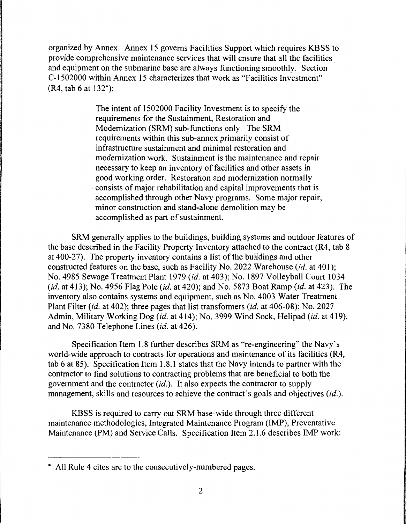organized by Annex. Annex 15 governs Facilities Support which requires KBSS to provide comprehensive maintenance services that will ensure that all the facilities and equipment on the submarine base are always functioning smoothly. Section C-1502000 within Annex 15 characterizes that work as "Facilities Investment" (R4, tab 6 at 132\*):

> The intent of 1502000 Facility Investment is to specify the requirements for the Sustainment, Restoration and Modernization (SRM) sub-functions only. The SRM requirements within this sub-annex primarily consist of infrastructure sustainment and minimal restoration and modernization work. Sustainment is the maintenance and repair necessary to keep an inventory of facilities and other assets in good working order. Restoration and modernization normally consists of major rehabilitation and capital improvements that is accomplished through other Navy programs. Some major repair, minor construction and stand-alone demolition may be accomplished as part of sustainment.

SRM generally applies to the buildings, building systems and outdoor features of the base described in the Facility Property Inventory attached to the contract (R4, tab 8 at 400-27). The property inventory contains a list of the buildings and other constructed features on the base, such as Facility No. 2022 Warehouse *(id.* at 401); No. 4985 Sewage Treatment Plant 1979 *(id.* at 403); No. 1897 Volleyball Court 1034 *(id.* at 413); No. 4956 Flag Pole *(id.* at 420); and No. 5873 Boat Ramp *(id.* at 423). The inventory also contains systems and equipment, such as No. 4003 Water Treatment Plant Filter *(id.* at 402); three pages that list transformers *(id.* at 406-08); No. 2027 Admin, Military Working Dog *(id.* at 414); No. 3999 Wind Sock, Helipad *(id.* at 419), and No. 7380 Telephone Lines *(id.* at 426).

Specification Item 1.8 further describes SRM as "re-engineering" the Navy's world-wide approach to contracts for operations and maintenance of its facilities (R4, tab 6 at 85). Specification Item 1.8. l states that the Navy intends to partner with the contractor to find solutions to contracting problems that are beneficial to both the government and the contractor *(id.).* It also expects the contractor to supply management, skills and resources to achieve the contract's goals and objectives *(id.).* 

KBSS is required to carry out SRM base-wide through three different maintenance methodologies, Integrated Maintenance Program (IMP), Preventative Maintenance (PM) and Service Calls. Specification Item 2.1.6 describes IMP work:

<sup>\*</sup> All Rule 4 cites are to the consecutively-numbered pages.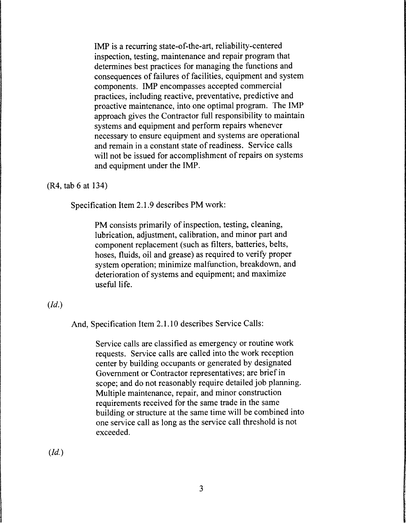IMP is a recurring state-of-the-art, reliability-centered inspection, testing, maintenance and repair program that determines best practices for managing the functions and consequences of failures of facilities, equipment and system components. IMP encompasses accepted commercial practices, including reactive, preventative, predictive and proactive maintenance, into one optimal program. The IMP approach gives the Contractor full responsibility to maintain systems and equipment and perform repairs whenever necessary to ensure equipment and systems are operational and remain in a constant state of readiness. Service calls will not be issued for accomplishment of repairs on systems and equipment under the IMP.

#### (R4, tab 6 at 134)

Specification Item 2.1.9 describes PM work:

PM consists primarily of inspection, testing, cleaning, lubrication, adjustment, calibration, and minor part and component replacement (such as filters, batteries, belts, hoses, fluids, oil and grease) as required to verify proper system operation; minimize malfunction, breakdown, and deterioration of systems and equipment; and maximize useful life.

### *(Id.)*

And, Specification Item 2.1.10 describes Service Calls:

Service calls are classified as emergency or routine work requests. Service calls are called into the work reception center by building occupants or generated by designated Government or Contractor representatives; are brief in scope; and do not reasonably require detailed job planning. Multiple maintenance, repair, and minor construction requirements received for the same trade in the same building or structure at the same time will be combined into one service call as long as the service call threshold is not exceeded.

*(Id.)*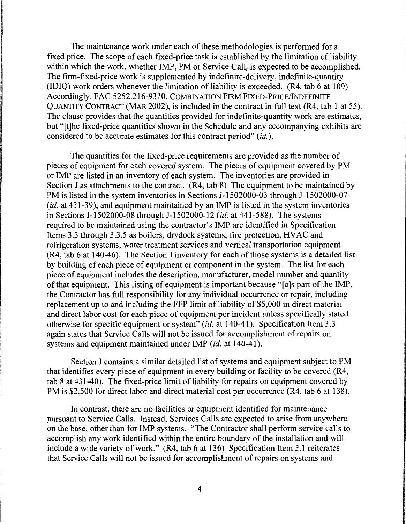The maintenance work under each of these methodologies is performed for a fixed price. The scope of each fixed-price task is established by the limitation of liability within which the work, whether IMP, PM or Service Call, is expected to be accomplished. The firm-fixed-price work is supplemented by indefinite-delivery, indefinite-quantity (IDIQ) work orders whenever the limitation of liability is exceeded. (R4, tab 6 at 109) Accordingly, FAC 5252.216-9310, COMBINATION FIRM FIXED-PRICE/INDEFINITE QUANTITY CONTRACT (MAR 2002), is included in the contract in full text (R4, tab 1 at 55). The clause provides that the quantities provided for indefinite-quantity work are estimates, but "[t]he fixed-price quantities shown in the Schedule and any accompanying exhibits are considered to be accurate estimates for this contract period" (id.).

The quantities for the fixed-price requirements are provided as the number of pieces of equipment for each covered system. The pieces of equipment covered by PM or IMP are listed in an inventory of each system. The inventories are provided in Section J as attachments to the contract. (R4, tab 8) The equipment to be maintained by PM is listed in the system inventories in Sections J-1502000-03 through J-1502000-07 *(id.* at 431-39), and equipment maintained by an IMP is listed in the system inventories in Sections J-1502000-08 through J-1502000-12 *(id.* at 441-588). The systems required to be maintained using the contractor's IMP are identified in Specification Items 3.3 through 3.3.5 as boilers, drydock systems, fire protection, HVAC and refrigeration systems, water treatment services and vertical transportation equipment (R4, tab 6 at 140-46). The Section J inventory for each of those systems is a detailed list by building of each piece of equipment or component in the system. The list for each piece of equipment includes the description, manufacturer, model number and quantity of that equipment. This listing of equipment is important because "[a]s part of the IMP, the Contractor has full responsibility for any individual occurrence or repair, including replacement up to and including the FFP limit of liability of \$5,000 in direct material and direct labor cost for each piece of equipment per incident unless specifically stated otherwise for specific equipment or system" (id. at 140-41). Specification Item 3.3 again states that Service Calls will not be issued for accomplishment of repairs on systems and equipment maintained under IMP *(id.* at 140-41 ).

Section J contains a similar detailed list of systems and equipment subject to PM that identifies every piece of equipment in every building or facility to be covered (R4, tab 8 at 431-40). The fixed-price limit of liability for repairs on equipment covered by PM is \$2,500 for direct labor and direct material cost per occurrence (R4, tab 6 at 138).

In contrast, there are no facilities or equipment identified for maintenance pursuant to Service Calls. Instead, Services Calls are expected to arise from anywhere on the base, other than for IMP systems. "The Contractor shall perform service calls to accomplish any work identified within the entire boundary of the installation and will include a wide variety of work." (R4, tab 6 at 136) Specification Item 3.1 reiterates that Service Calls will not be issued for accomplishment of repairs on systems and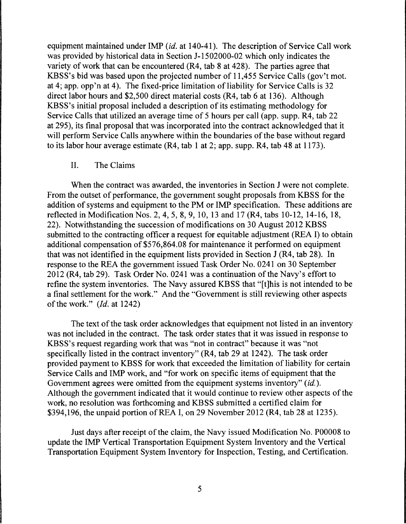equipment maintained under IMP *(id.* at 140-41 ). The description of Service Call work was provided by historical data in Section J-1502000-02 which only indicates the variety of work that can be encountered (R4, tab 8 at 428). The parties agree that KBSS's bid was based upon the projected number of 11,455 Service Calls (gov't mot. at 4; app. opp'n at 4). The fixed-price limitation of liability for Service Calls is 32 direct labor hours and \$2,500 direct material costs (R4, tab 6 at 136). Although KBSS's initial proposal included a description of its estimating methodology for Service Calls that utilized an average time of 5 hours per call (app. supp. R4, tab 22 at 295), its final proposal that was incorporated into the contract acknowledged that it will perform Service Calls anywhere within the boundaries of the base without regard to its labor hour average estimate (R4, tab 1 at 2; app. supp. R4, tab 48 at 1173).

### II. The Claims

When the contract was awarded, the inventories in Section J were not complete. From the outset of performance, the government sought proposals from KBSS for the addition of systems and equipment to the PM or IMP specification. These additions are reflected in Modification Nos. 2, 4, 5, 8, 9, 10, 13 and 17 (R4, tabs 10-12, 14-16, 18, 22). Notwithstanding the succession of modifications on 30 August 2012 KBSS submitted to the contracting officer a request for equitable adjustment (REA I) to obtain additional compensation of \$576,864.08 for maintenance it performed on equipment that was not identified in the equipment lists provided in Section J (R4, tab 28). In response to the REA the government issued Task Order No. 0241 on 30 September 2012 (R4, tab 29). Task Order No. 0241 was a continuation of the Navy's effort to refine the system inventories. The Navy assured KBSS that "[t]his is not intended to be a final settlement for the work." And the "Government is still reviewing other aspects of the work." *(Id.* at 1242)

The text of the task order acknowledges that equipment not listed in an inventory was not included in the contract. The task order states that it was issued in response to KBSS's request regarding work that was "not in contract" because it was "not specifically listed in the contract inventory" (R4, tab 29 at 1242). The task order provided payment to KBSS for work that exceeded the limitation of liability for certain Service Calls and IMP work, and "for work on specific items of equipment that the Government agrees were omitted from the equipment systems inventory" *(id.).*  Although the government indicated that it would continue to review other aspects of the work, no resolution was forthcoming and KBSS submitted a certified claim for \$394,196, the unpaid portion of REA I, on 29 November 2012 (R4, tab 28 at 1235).

Just days after receipt of the claim, the Navy issued Modification No. P00008 to update the IMP Vertical Transportation Equipment System Inventory and the Vertical Transportation Equipment System Inventory for Inspection, Testing, and Certification.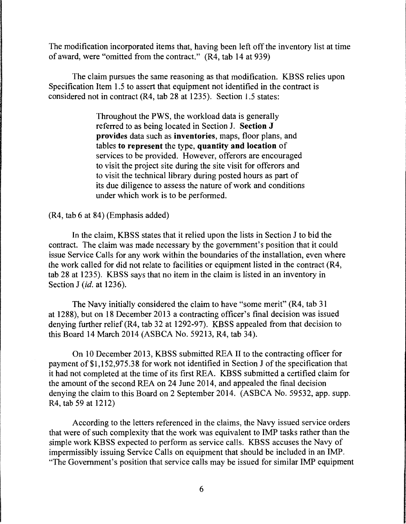The modification incorporated items that, having been left off the inventory list at time of award, were "omitted from the contract." (R4, tab 14 at 939)

The claim pursues the same reasoning as that modification. KBSS relies upon Specification Item 1.5 to assert that equipment not identified in the contract is considered not in contract (R4, tab 28 at 1235). Section 1.5 states:

> Throughout the PWS, the workload data is generally referred to as being located in Section J. **Section J provides** data such as **inventories,** maps, floor plans, and tables **to represent** the type, **quantity and location** of services to be provided. However, offerors are encouraged to visit the project site during the site visit for offerors and to visit the technical library during posted hours as part of its due diligence to assess the nature of work and conditions under which work is to be performed.

(R4, tab 6 at 84) (Emphasis added)

In the claim, KBSS states that it relied upon the lists in Section J to bid the contract. The claim was made necessary by the government's position that it could issue Service Calls for any work within the boundaries of the installation, even where the work called for did not relate to facilities or equipment listed in the contract (R4, tab 28 at 1235). KBSS says that no item in the claim is listed in an inventory in Section J *(id.* at 1236).

The Navy initially considered the claim to have "some merit" (R4, tab 31 at 1288), but on 18 December 2013 a contracting officer's final decision was issued denying further relief (R4, tab 32 at 1292-97). KBSS appealed from that decision to this Board 14 March 2014 (ASBCA No. 59213, R4, tab 34).

On 10 December 2013, KBSS submitted REA II to the contracting officer for payment of \$1,152,975.38 for work not identified in Section J of the specification that it had not completed at the time of its first REA. KBSS submitted a certified claim for the amount of the second REA on 24 June 2014, and appealed the final decision denying the claim to this Board on 2 September 2014. (ASBCA No. 59532, app. supp. R4, tab 59 at 1212)

According to the letters referenced in the claims, the Navy issued service orders that were of such complexity that the work was equivalent to IMP tasks rather than the simple work KBSS expected to perform as service calls. KBSS accuses the Navy of impermissibly issuing Service Calls on equipment that should be included in an IMP. "The Government's position that service calls may be issued for similar IMP equipment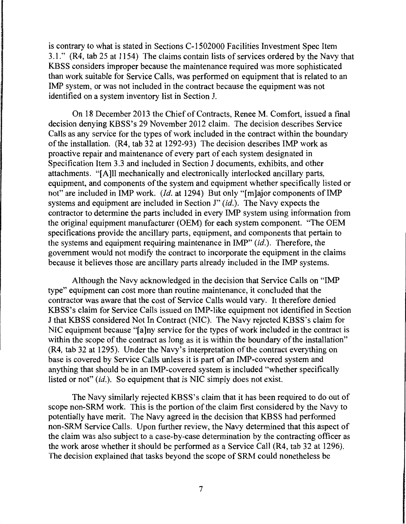is contrary to what is stated in Sections C-1502000 Facilities Investment Spec Item 3.1." (R4, tab 25 at 1154) The claims contain lists of services ordered by the Navy that KBSS considers improper because the maintenance required was more sophisticated than work suitable for Service Calls, was performed on equipment that is related to an IMP system, or was not included in the contract because the equipment was not identified on a system inventory list in Section J.

On 18 December 2013 the Chief of Contracts, Renee M. Comfort, issued a final decision denying KBSS's 29 November 2012 claim. The decision describes Service Calls as any service for the types of work included in the contract within the boundary of the installation. (R4, tab 32 at 1292-93) The decision describes IMP work as proactive repair and maintenance of every part of each system designated in Specification Item 3.3 and included in Section J documents, exhibits, and other attachments. "[A]ll mechanically and electronically interlocked ancillary parts, equipment, and components of the system and equipment whether specifically listed or not" are included in IMP work. *(Id.* at 1294) But only "[m]ajor components of IMP systems and equipment are included in Section J" *(id.).* The Navy expects the contractor to determine the parts included in every IMP system using information from the original equipment manufacturer (OEM) for each system component. "The OEM specifications provide the ancillary parts, equipment, and components that pertain to the systems and equipment requiring maintenance in IMP" (id.). Therefore, the government would not modify the contract to incorporate the equipment in the claims because it believes those are ancillary parts already included in the IMP systems.

Although the Navy acknowledged in the decision that Service Calls on "IMP type" equipment can cost more than routine maintenance, it concluded that the contractor was aware that the cost of Service Calls would vary. It therefore denied KBSS's claim for Service Calls issued on IMP-like equipment not identified in Section J that KBSS considered Not In Contract (NIC). The Navy rejected KBSS's claim for NIC equipment because "[a]ny service for the types of work included in the contract is within the scope of the contract as long as it is within the boundary of the installation" (R4, tab 32 at 1295). Under the Navy's interpretation of the contract everything on base is covered by Service Calls unless it is part of an IMP-covered system and anything that should be in an IMP-covered system is included "whether specifically listed or not" *(id.).* So equipment that is NIC simply does not exist.

The Navy similarly rejected KBSS's claim that it has been required to do out of scope non-SRM work. This is the portion of the claim first considered by the Navy to potentially have merit. The Navy agreed in the decision that KBSS had performed non-SRM Service Calls. Upon further review, the Navy determined that this aspect of the claim was also subject to a case-by-case determination by the contracting officer as the work arose whether it should be performed as a Service Call (R4, tab 32 at 1296). The decision explained that tasks beyond the scope of SRM could nonetheless be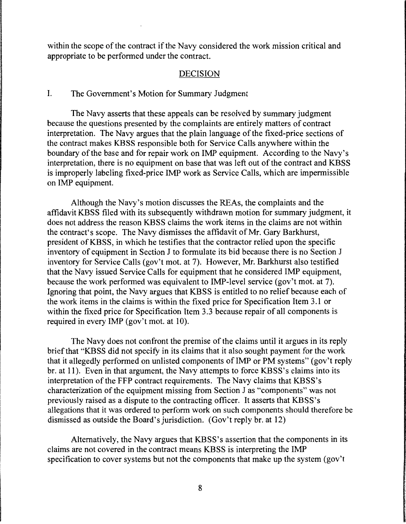within the scope of the contract if the Navy considered the work mission critical and appropriate to be performed under the contract.

### DECISION

### I. The Government's Motion for Summary Judgment

The Navy asserts that these appeals can be resolved by summary judgment because the questions presented by the complaints are entirely matters of contract interpretation. The Navy argues that the plain language of the fixed-price sections of the contract makes KBSS responsible both for Service Calls anywhere within the boundary of the base and for repair work on IMP equipment. According to the Navy's interpretation, there is no equipment on base that was left out of the contract and KBSS is improperly labeling fixed-price IMP work as Service Calls, which are impermissible on IMP equipment.

Although the Navy's motion discusses the REAs, the complaints and the affidavit KBSS filed with its subsequently withdrawn motion for summary judgment, it does not address the reason KBSS claims the work items in the claims are not within the contract's scope. The Navy dismisses the affidavit of Mr. Gary Barkhurst, president of KBSS, in which he testifies that the contractor relied upon the specific inventory of equipment in Section J to formulate its bid because there is no Section J inventory for Service Calls (gov't mot. at 7). However, Mr. Barkhurst also testified that the Navy issued Service Calls for equipment that he considered IMP equipment, because the work performed was equivalent to IMP-level service (gov't mot. at 7). Ignoring that point, the Navy argues that KBSS is entitled to no relief because each of the work items in the claims is within the fixed price for Specification Item 3 .1 or within the fixed price for Specification Item 3.3 because repair of all components is required in every IMP (gov't mot. at 10).

The Navy does not confront the premise of the claims until it argues in its reply brief that "KBSS did not specify in its claims that it also sought payment for the work that it allegedly performed on unlisted components of IMP or PM systems" (gov't reply br. at 11). Even in that argument, the Navy attempts to force KBSS's claims into its interpretation of the FFP contract requirements. The Navy claims that KBSS's characterization of the equipment missing from Section J as "components" was not previously raised as a dispute to the contracting officer. It asserts that KBSS's allegations that it was ordered to perform work on such components should therefore be dismissed as outside the Board's jurisdiction. (Gov't reply br. at 12)

Alternatively, the Navy argues that KBSS's assertion that the components in its claims are not covered in the contract means KBSS is interpreting the IMP specification to cover systems but not the components that make up the system (gov't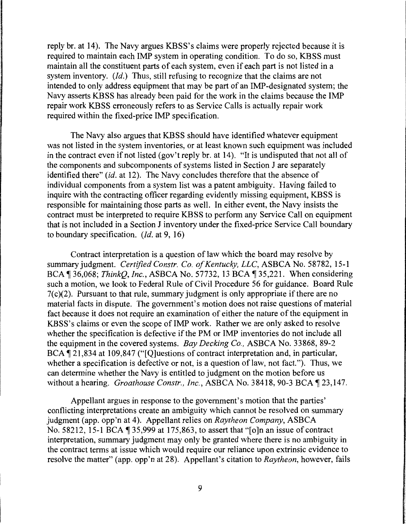reply br. at 14). The Navy argues KBSS's claims were properly rejected because it is required to maintain each IMP system in operating condition. To do so, KBSS must maintain all the constituent parts of each system, even if each part is not listed in a system inventory. *(Id.)* Thus, still refusing to recognize that the claims are not intended to only address equipment that may be part of an IMP-designated system; the Navy asserts KBSS has already been paid for the work in the claims because the IMP repair work KBSS erroneously refers to as Service Calls is actually repair work required within the fixed-price IMP specification.

The Navy also argues that KBSS should have identified whatever equipment was not listed in the system inventories, or at least known such equipment was included in the contract even if not listed (gov't reply br. at 14). "It is undisputed that not all of the components and subcomponents of systems listed in Section J are separately identified there" *(id.* at 12). The Navy concludes therefore that the absence of individual components from a system list was a patent ambiguity. Having failed to inquire with the contracting officer regarding evidently missing equipment, KBSS is responsible for maintaining those parts as well. In either event, the Navy insists the contract must be interpreted to require KBSS to perform any Service Call on equipment that is not included in a Section J inventory under the fixed-price Service Call boundary to boundary specification. *(Id.* at 9, 16)

Contract interpretation is a question of law which the board may resolve by summary judgment. *Certified Constr. Co. of Kentucky, LLC,* ASBCA No. 58782, 15-1 BCA, 36,068; *ThinkQ, Inc., ASBCA No.* 57732, 13 BCA, 35,221. When considering such a motion, we look to Federal Rule of Civil Procedure 56 for guidance. Board Rule  $7(c)(2)$ . Pursuant to that rule, summary judgment is only appropriate if there are no material facts in dispute. The government's motion does not raise questions of material fact because it does not require an examination of either the nature of the equipment in KBSS's claims or even the scope of IMP work. Rather we are only asked to resolve whether the specification is defective if the PM or IMP inventories do not include all the equipment in the covered systems. *Bay Decking Co.,* ASBCA No. 33868, 89-2 BCA, 121,834 at 109,847 ("[O]uestions of contract interpretation and, in particular, whether a specification is defective or not, is a question of law, not fact."). Thus, we can determine whether the Navy is entitled to judgment on the motion before us without a hearing. *Groathouse Constr., Inc.*, ASBCA No. 38418, 90-3 BCA 1 23,147.

Appellant argues in response to the government's motion that the parties' conflicting interpretations create an ambiguity which cannot be resolved on summary judgment (app. opp'n at 4). Appellant relies on *Raytheon Company,* ASBCA No. 58212, 15-1 BCA | 35,999 at 175,863, to assert that "[o]n an issue of contract interpretation, summary judgment may only be granted where there is no ambiguity in the contract terms at issue which would require our reliance upon extrinsic evidence to resolve the matter" (app. opp'n at 28). Appellant's citation to *Raytheon,* however, fails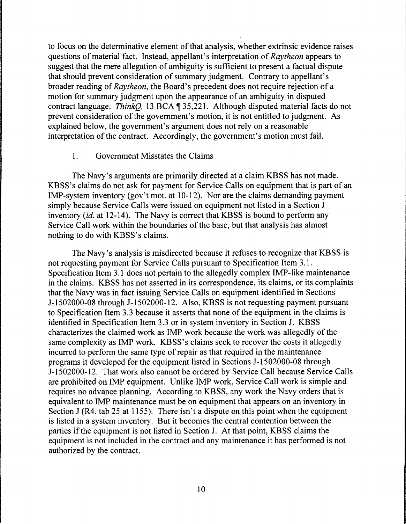to focus on the determinative element of that analysis, whether extrinsic evidence raises questions of material fact. Instead, appellant's interpretation of *Raytheon* appears to suggest that the mere allegation of ambiguity is sufficient to present a factual dispute that should prevent consideration of summary judgment. Contrary to appellant's broader reading of *Raytheon,* the Board's precedent does not require rejection of a motion for summary judgment upon the appearance of an ambiguity in disputed contract language. *ThinkO*, 13 BCA ¶ 35,221. Although disputed material facts do not prevent consideration of the government's motion, it is not entitled to judgment. As explained below, the government's argument does not rely on a reasonable interpretation of the contract. Accordingly, the government's motion must fail.

# 1. Government Misstates the Claims

The Navy's arguments are primarily directed at a claim KBSS has not made. KBSS's claims do not ask for payment for Service Calls on equipment that is part of an IMP-system inventory (gov't mot. at 10-12). Nor are the claims demanding payment simply because Service Calls were issued on equipment not listed in a Section J inventory *(id.* at 12-14). The Navy is correct that KBSS is bound to perform any Service Call work within the boundaries of the base, but that analysis has almost nothing to do with KBSS's claims.

The Navy's analysis is misdirected because it refuses to recognize that KBSS is not requesting payment for Service Calls pursuant to Specification Item 3.1. Specification Item 3.1 does not pertain to the allegedly complex IMP-like maintenance in the claims. KBSS has not asserted in its correspondence, its claims, or its complaints that the Navy was in fact issuing Service Calls on equipment identified in Sections J-1502000-08 through J-1502000-12. Also, KBSS is not requesting payment pursuant to Specification Item 3.3 because it asserts that none of the equipment in the claims is identified in Specification Item 3.3 or in system inventory in Section J. KBSS characterizes the claimed work as IMP work because the work was allegedly of the same complexity as IMP work. KBSS's claims seek to recover the costs it allegedly incurred to perform the same type of repair as that required in the maintenance programs it developed for the equipment listed in Sections J-1502000-08 through J-1502000-12. That work also cannot be ordered by Service Call because Service Calls are prohibited on IMP equipment. Unlike IMP work, Service Call work is simple and requires no advance planning. According to KBSS, any work the Navy orders that is equivalent to IMP maintenance must be on equipment that appears on an inventory in Section J (R4, tab 25 at 1155). There isn't a dispute on this point when the equipment is listed in a system inventory. But it becomes the central contention between the parties if the equipment is not listed in Section J. At that point, KBSS claims the equipment is not included in the contract and any maintenance it has performed is not authorized by the contract.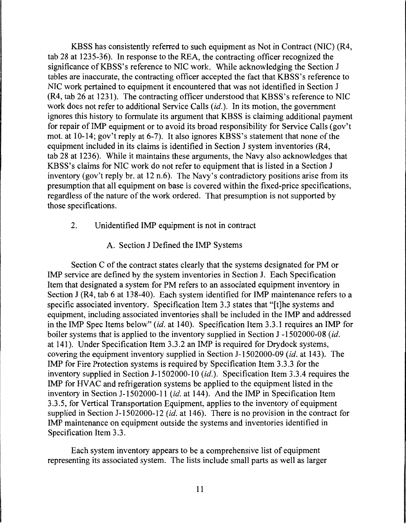KBSS has consistently referred to such equipment as Not in Contract (NIC) (R4, tab 28 at 1235-36). In response to the REA, the contracting officer recognized the significance of KBSS's reference to NIC work. While acknowledging the Section J tables are inaccurate, the contracting officer accepted the fact that KBSS's reference to NIC work pertained to equipment it encountered that was not identified in Section J (R4, tab 26 at 1231). The contracting officer understood that KBSS's reference to NIC work does not refer to additional Service Calls *(id.).* In its motion, the government ignores this history to formulate its argument that KBSS is claiming additional payment for repair of IMP equipment or to avoid its broad responsibility for Service Calls (gov't mot. at 10-14; gov't reply at 6-7). It also ignores KBSS's statement that none of the equipment included in its claims is identified in Section J system inventories (R4, tab 28 at 1236). While it maintains these arguments, the Navy also acknowledges that KBSS's claims for NIC work do not refer to equipment that is listed in a Section J inventory (gov't reply br. at 12 n.6). The Navy's contradictory positions arise from its presumption that all equipment on base is covered within the fixed-price specifications, regardless of the nature of the work ordered. That presumption is not supported by those specifications.

- 2. Unidentified IMP equipment is not in contract
	- A. Section J Defined the IMP Systems

Section C of the contract states clearly that the systems designated for PM or IMP service are defined by the system inventories in Section J. Each Specification Item that designated a system for PM refers to an associated equipment inventory in Section J (R4, tab 6 at 138-40). Each system identified for IMP maintenance refers to a specific associated inventory. Specification Item 3.3 states that "[t]he systems and equipment, including associated inventories shall be included in the IMP and addressed in the IMP Spec Items below" *(id.* at 140). Specification Item 3.3.1 requires an IMP for boiler systems that is applied to the inventory supplied in Section J-1502000-08 (id. at 141). Under Specification Item 3.3.2 an IMP is required for Drydock systems, covering the equipment inventory supplied in Section J-1502000-09 *(id.* at 143). The IMP for Fire Protection systems is required by Specification Item 3.3.3 for the inventory supplied in Section J-1502000-10 (id.). Specification Item 3.3.4 requires the IMP for HV AC and refrigeration systems be applied to the equipment listed in the inventory in Section J-1502000-11 *(id.* at 144). And the IMP in Specification Item 3.3.5, for Vertical Transportation Equipment, applies to the inventory of equipment supplied in Section J-1502000-12 (id. at 146). There is no provision in the contract for IMP maintenance on equipment outside the systems and inventories identified in Specification Item 3.3.

Each system inventory appears to be a comprehensive list of equipment representing its associated system. The lists include small parts as well as larger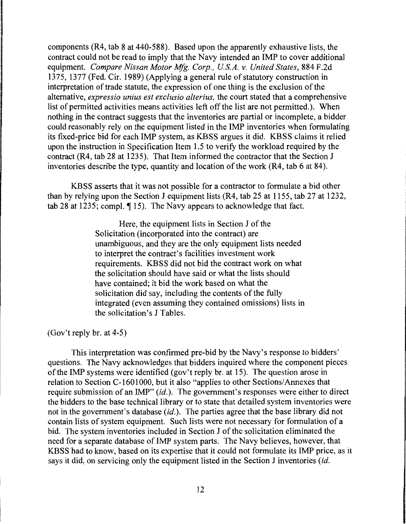components (R4, tab 8 at 440-588). Based upon the apparently exhaustive lists, the contract could not be read to imply that the Navy intended an IMP to cover additional equipment. *Compare Nissan Motor Mfg. Corp., US.A. v. United States,* 884 F.2d 1375, 1377 (Fed. Cir. 1989) (Applying a general rule of statutory construction in interpretation of trade statute, the expression of one thing is the exclusion of the alternative, *expressio unius est exclusio alterius,* the court stated that a comprehensive list of permitted activities means activities left off the list are not permitted.). When nothing in the contract suggests that the inventories are partial or incomplete, a bidder could reasonably rely on the equipment listed in the IMP inventories when formulating its fixed-price bid for each IMP system, as KBSS argues it did. KBSS claims it relied upon the instruction in Specification Item 1.5 to verify the workload required by the contract (R4, tab 28 at 1235). That Item informed the contractor that the Section J inventories describe the type, quantity and location of the work (R4, tab 6 at 84).

KBSS asserts that it was not possible for a contractor to formulate a bid other than by relying upon the Section J equipment lists (R4, tab 25 at 1155, tab 27 at 1232, tab 28 at 1235; compl.  $\P$  15). The Navy appears to acknowledge that fact.

> Here, the equipment lists in Section J of the Solicitation (incorporated into the contract) are unambiguous, and they are the only equipment lists needed to interpret the contract's facilities investment work requirements. KBSS did not bid the contract work on what the solicitation should have said or what the lists should have contained; it bid the work based on what the solicitation did say, including the contents of the fully integrated (even assuming they contained omissions) lists in the solicitation's J Tables.

(Gov't reply br. at 4-5)

This interpretation was confirmed pre-bid by the Navy's response to bidders' questions. The Navy acknowledges that bidders inquired where the component pieces of the IMP systems were identified (gov't reply br. at 15). The question arose in relation to Section C-1601000, but it also "applies to other Sections/ Annexes that require submission of an IMP" *(id.).* The government's responses were either to direct the bidders to the base technical library or to state that detailed system inventories were not in the government's database *(id.).* The parties agree that the base library did not contain lists of system equipment. Such lists were not necessary for formulation of a bid. The system inventories included in Section J of the solicitation eliminated the need for a separate database of IMP system parts. The Navy believes, however, that KBSS had to know, based on its expertise that it could not formulate its IMP price, as it says it did, on servicing only the equipment listed in the Section J inventories *(id.*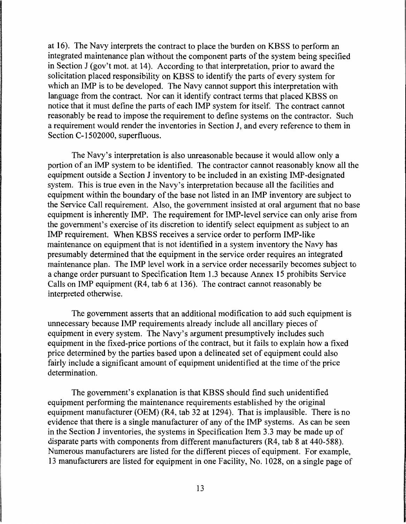at 16). The Navy interprets the contract to place the burden on KBSS to perform an integrated maintenance plan without the component parts of the system being specified in Section J (gov't mot. at 14). According to that interpretation, prior to award the solicitation placed responsibility on KBSS to identify the parts of every system for which an IMP is to be developed. The Navy cannot support this interpretation with language from the contract. Nor can it identify contract terms that placed KBSS on notice that it must define the parts of each IMP system for itself. The contract cannot reasonably be read to impose the requirement to define systems on the contractor. Such a requirement would render the inventories in Section J, and every reference to them in Section C-1502000, superfluous.

The Navy's interpretation is also unreasonable because it would allow only a portion of an IMP system to be identified. The contractor cannot reasonably know all the equipment outside a Section J inventory to be included in an existing IMP-designated system. This is true even in the Navy's interpretation because all the facilities and equipment within the boundary of the base not listed in an IMP inventory are subject to the Service Call requirement. Also, the government insisted at oral argument that no base equipment is inherently IMP. The requirement for IMP-level service can only arise from the government's exercise of its discretion to identify select equipment as subject to an IMP requirement. When KBSS receives a service order to perform IMP-like maintenance on equipment that is not identified in a system inventory the Navy has presumably determined that the equipment in the service order requires an integrated maintenance plan. The IMP level work in a service order necessarily becomes subject to a change order pursuant to Specification Item 1.3 because Annex 15 prohibits Service Calls on IMP equipment (R4, tab 6 at 136). The contract cannot reasonably be interpreted otherwise.

The government asserts that an additional modification to add such equipment is unnecessary because IMP requirements already include all ancillary pieces of equipment in every system. The Navy's argument presumptively includes such equipment in the fixed-price portions of the contract, but it fails to explain how a fixed price determined by the parties based upon a delineated set of equipment could also fairly include a significant amount of equipment unidentified at the time of the price determination.

The government's explanation is that KBSS should find such unidentified equipment performing the maintenance requirements established by the original equipment manufacturer (OEM) (R4, tab 32 at 1294). That is implausible. There is no evidence that there is a single manufacturer of any of the IMP systems. As can be seen in the Section J inventories, the systems in Specification Item 3 .3 may be made up of disparate parts with components from different manufacturers (R4, tab 8 at 440-588). Numerous manufacturers are listed for the different pieces of equipment. For example, 13 manufacturers are listed for equipment in one Facility, No. 1028, on a single page of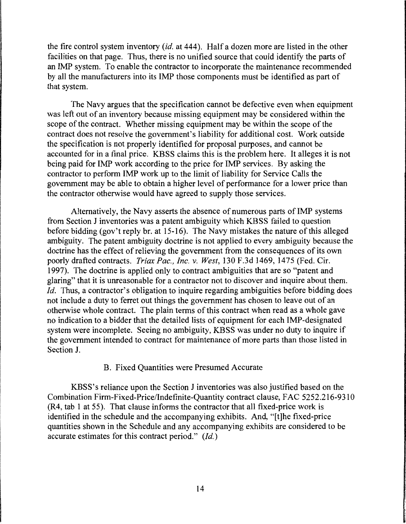the fire control system inventory *(id.* at 444 ). Half a dozen more are listed in the other facilities on that page. Thus, there is no unified source that could identify the parts of an IMP system. To enable the contractor to incorporate the maintenance recommended by all the manufacturers into its IMP those components must be identified as part of that system.

The Navy argues that the specification cannot be defective even when equipment was left out of an inventory because missing equipment may be considered within the scope of the contract. Whether missing equipment may be within the scope of the contract does not resolve the government's liability for additional cost. Work outside the specification is not properly identified for proposal purposes, and cannot be accounted for in a final price. KBSS claims this is the problem here. It alleges it is not being paid for IMP work according to the price for IMP services. By asking the contractor to perform IMP work up to the limit of liability for Service Calls the government may be able to obtain a higher level of performance for a lower price than the contractor otherwise would have agreed to supply those services.

Alternatively, the Navy asserts the absence of numerous parts of IMP systems from Section J inventories was a patent ambiguity which KBSS failed to question before bidding (gov't reply br. at 15-16). The Navy mistakes the nature of this alleged ambiguity. The patent ambiguity doctrine is not applied to every ambiguity because the doctrine has the effect of relieving the government from the consequences of its own poorly drafted contracts. *Triax Pac., Inc.* v. *West,* 130 F.3d 1469, 1475 (Fed. Cir. 1997). The doctrine is applied only to contract ambiguities that are so "patent and glaring" that it is unreasonable for a contractor not to discover and inquire about them. *Id.* Thus, a contractor's obligation to inquire regarding ambiguities before bidding does not include a duty to ferret out things the government has chosen to leave out of an otherwise whole contract. The plain terms of this contract when read as a whole gave no indication to a bidder that the detailed lists of equipment for each IMP-designated system were incomplete. Seeing no ambiguity, KBSS was under no duty to inquire if the government intended to contract for maintenance of more parts than those listed in Section J.

# B. Fixed Quantities were Presumed Accurate

KBSS's reliance upon the Section J inventories was also justified based on the Combination Firm-Fixed-Price/Indefinite-Quantity contract clause, FAC 5252.216-9310 (R4, tab 1 at 55). That clause informs the contractor that all fixed-price work is identified in the schedule and the accompanying exhibits. And, "[t]he fixed-price quantities shown in the Schedule and any accompanying exhibits are considered to be accurate estimates for this contract period." *(Id.)*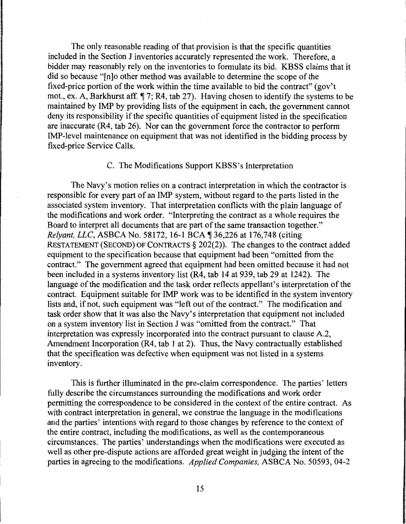The only reasonable reading of that provision is that the specific quantities included in the Section J inventories accurately represented the work. Therefore, a bidder may reasonably rely on the inventories to formulate its bid. KBSS claims that it did so because "[n]o other method was available to determine the scope of the fixed-price portion of the work within the time available to bid the contract" (gov't mot., ex. A, Barkhurst aff.  $\P$  7; R4, tab 27). Having chosen to identify the systems to be maintained by IMP by providing lists of the equipment in each, the government cannot deny its responsibility if the specific quantities of equipment listed in the specification are inaccurate (R4, tab 26). Nor can the government force the contractor to perform IMP-level maintenance on equipment that was not identified in the bidding process by fixed-price Service Calls.

#### C. The Modifications Support KBSS's Interpretation

The Navy's motion relies on a contract interpretation in which the contractor is responsible for every part of an IMP system, without regard to the parts listed in the associated system inventory. That interpretation conflicts with the plain language of the modifications and work order. "Interpreting the contract as a whole requires the Board to interpret all documents that are part of the same transaction together." *Relyant, LLC, ASBCA No.* 58172, 16-1 BCA ¶ 36,226 at 176,748 (citing RESTATEMENT (SECOND) OF CONTRACTS§ 202(2)). The changes to the contract added equipment to the specification because that equipment had been "omitted from the contract." The government agreed that equipment had been omitted because it had not been included in a systems inventory list (R4, tab 14 at 939, tab 29 at 1242). The language of the modification and the task order reflects appellant's interpretation of the contract. Equipment suitable for IMP work was to be identified in the system inventory lists and, if not, such equipment was "left out of the contract." The modification and task order show that it was also the Navy's interpretation that equipment not included on a system inventory list in Section J was "omitted from the contract." That interpretation was expressly incorporated into the contract pursuant to clause A.2, Amendment Incorporation (R4, tab 1 at 2). Thus, the Navy contractually established that the specification was defective when equipment was not listed in a systems inventory.

This is further illuminated in the pre-claim correspondence. The parties' letters fully describe the circumstances surrounding the modifications and work order permitting the correspondence to be considered in the context of the entire contract. As with contract interpretation in general, we construe the language in the modifications and the parties' intentions with regard to those changes by reference to the context of the entire contract, including the modifications, as well as the contemporaneous circumstances. The parties' understandings when the modifications were executed as well as other pre-dispute actions are afforded great weight in judging the intent of the parties in agreeing to the modifications. *Applied Companies,* ASBCA No. 50593, 04-2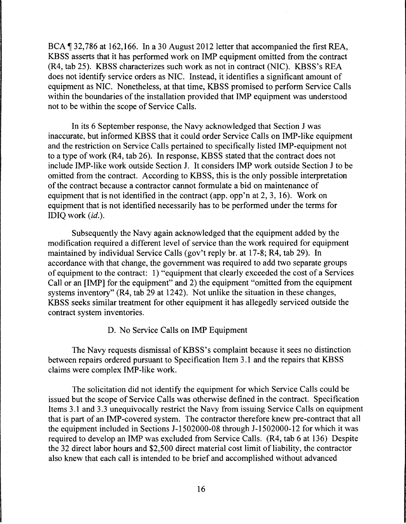BCA ¶ 32,786 at 162,166. In a 30 August 2012 letter that accompanied the first REA, KBSS asserts that it has performed work on IMP equipment omitted from the contract (R4, tab 25). KBSS characterizes such work as not in contract (NIC). KBSS's REA does not identify service orders as NIC. Instead, it identifies a significant amount of equipment as NIC. Nonetheless, at that time, KBSS promised to perform Service Calls within the boundaries of the installation provided that IMP equipment was understood not to be within the scope of Service Calls.

In its 6 September response, the Navy acknowledged that Section J was inaccurate, but informed KBSS that it could order Service Calls on IMP-like equipment and the restriction on Service Calls pertained to specifically listed IMP-equipment not to a type of work (R4, tab 26). In response, KBSS stated that the contract does not include IMP-like work outside Section J. It considers IMP work outside Section J to be omitted from the contract. According to KBSS, this is the only possible interpretation of the contract because a contractor cannot formulate a bid on maintenance of equipment that is not identified in the contract (app. opp'n at 2, 3, 16). Work on equipment that is not identified necessarily has to be performed under the terms for IDIQ work *(id.).* 

Subsequently the Navy again acknowledged that the equipment added by the modification required a different level of service than the work required for equipment maintained by individual Service Calls (gov't reply br. at 17-8; R4, tab 29). In accordance with that change, the government was required to add two separate groups of equipment to the contract: 1) "equipment that clearly exceeded the cost of a Services Call or an [IMP] for the equipment" and 2) the equipment "omitted from the equipment systems inventory" (R4, tab 29 at 1242). Not unlike the situation in these changes, KBSS seeks similar treatment for other equipment it has allegedly serviced outside the contract system inventories.

### D. No Service Calls on IMP Equipment

The Navy requests dismissal of KBSS's complaint because it sees no distinction between repairs ordered pursuant to Specification Item 3.1 and the repairs that KBSS claims were complex IMP-like work.

The solicitation did not identify the equipment for which Service Calls could be issued but the scope of Service Calls was otherwise defined in the contract. Specification Items 3.1 and 3.3 unequivocally restrict the Navy from issuing Service Calls on equipment that is part of an IMP-covered system. The contractor therefore knew pre-contract that all the equipment included in Sections J-1502000-08 through J-1502000-12 for which it was required to develop an IMP was excluded from Service Calls. (R4, tab 6 at 136) Despite the 32 direct labor hours and \$2,500 direct material cost limit of liability, the contractor also knew that each call is intended to be brief and accomplished without advanced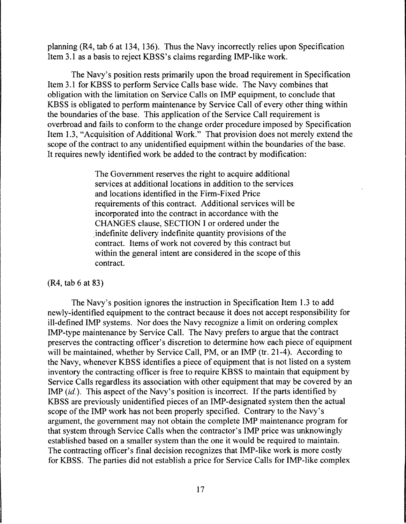planning (R4, tab 6 at 134, 136). Thus the Navy incorrectly relies upon Specification Item 3.1 as a basis to reject KBSS's claims regarding IMP-like work.

The Navy's position rests primarily upon the broad requirement in Specification Item 3.1 for KBSS to perform Service Calls base wide. The Navy combines that obligation with the limitation on Service Calls on IMP equipment, to conclude that KBSS is obligated to perform maintenance by Service Call of every other thing within the boundaries of the base. This application of the Service Call requirement is overbroad and fails to conform to the change order procedure imposed by Specification Item 1.3, "Acquisition of Additional Work." That provision does not merely extend the scope of the contract to any unidentified equipment within the boundaries of the base. It requires newly identified work be added to the contract by modification:

> The Government reserves the right to acquire additional services at additional locations in addition to the services and locations identified in the Firm-Fixed Price requirements of this contract. Additional services will be incorporated into the contract in accordance with the CHANGES clause, SECTION I or ordered under the .indefinite delivery indefinite quantity provisions of the contract. Items of work not covered by this contract but within the general intent are considered in the scope of this contract.

# (R4, tab 6 at 83)

The Navy's position ignores the instruction in Specification Item 1.3 to add newly-identified equipment to the contract because it does not accept responsibility for ill-defined IMP systems. Nor does the Navy recognize a limit on ordering complex IMP-type maintenance by Service Call. The Navy prefers to argue that the contract preserves the contracting officer's discretion to determine how each piece of equipment will be maintained, whether by Service Call, PM, or an IMP (tr. 21-4). According to the Navy, whenever KBSS identifies a piece of equipment that is not listed on a system inventory the contracting officer is free to require KBSS to maintain that equipment by Service Calls regardless its association with other equipment that may be covered by an IMP *(id.).* This aspect of the Navy's position is incorrect. If the parts identified by KBSS are previously unidentified pieces of an IMP-designated system then the actual scope of the IMP work has not been properly specified. Contrary to the Navy's argument, the government may not obtain the complete IMP maintenance program for that system through Service Calls when the contractor's IMP price was unknowingly established based on a smaller system than the one it would be required to maintain. The contracting officer's final decision recognizes that IMP-like work is more costly for KBSS. The parties did not establish a price for Service Calls for IMP-like complex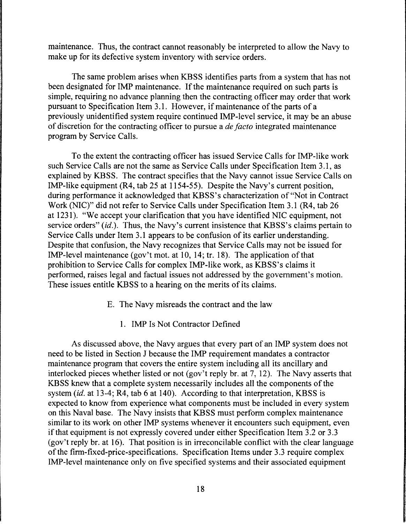maintenance. Thus, the contract cannot reasonably be interpreted to allow the Navy to make up for its defective system inventory with service orders.

The same problem arises when KBSS identifies parts from a system that has not been designated for IMP maintenance. If the maintenance required on such parts is simple, requiring no advance planning then the contracting officer may order that work pursuant to Specification Item 3 .1. However, if maintenance of the parts of a previously unidentified system require continued IMP-level service, it may be an abuse of discretion for the contracting officer to pursue a *de facto* integrated maintenance program by Service Calls.

To the extent the contracting officer has issued Service Calls for IMP-like work such Service Calls are not the same as Service Calls under Specification Item 3 .1, as explained by KBSS. The contract specifies that the Navy cannot issue Service Calls on IMP-like equipment (R4, tab 25 at 1154-55). Despite the Navy's current position, during performance it acknowledged that KBSS's characterization of "Not in Contract Work (NIC)" did not refer to Service Calls under Specification Item 3 .1 (R4, tab 26 at 1231 ). "We accept your clarification that you have identified NIC equipment, not service orders" (id.). Thus, the Navy's current insistence that KBSS's claims pertain to Service Calls under Item 3.1 appears to be confusion of its earlier understanding. Despite that confusion, the Navy recognizes that Service Calls may not be issued for IMP-level maintenance (gov't mot. at 10, 14; tr. 18). The application of that prohibition to Service Calls for complex IMP-like work, as KBSS's claims it performed, raises legal and factual issues not addressed by the government's motion. These issues entitle KBSS to a hearing on the merits of its claims.

- E. The Navy misreads the contract and the law
	- 1. IMP Is Not Contractor Defined

As discussed above, the Navy argues that every part of an IMP system does not need to be listed in Section J because the IMP requirement mandates a contractor maintenance program that covers the entire system including all its ancillary and interlocked pieces whether listed or not (gov't reply br. at 7, 12). The Navy asserts that KBSS knew that a complete system necessarily includes all the components of the system *(id.* at 13-4; R4, tab 6 at 140). According to that interpretation, KBSS is expected to know from experience what components must be included in every system on this Naval base. The Navy insists that KBSS must perform complex maintenance similar to its work on other IMP systems whenever it encounters such equipment, even if that equipment is not expressly covered under either Specification Item 3.2 or 3.3 (gov't reply br. at 16). That position is in irreconcilable conflict with the clear language of the firm-fixed-price-specifications. Specification Items under 3.3 require complex IMP-level maintenance only on five specified systems and their associated equipment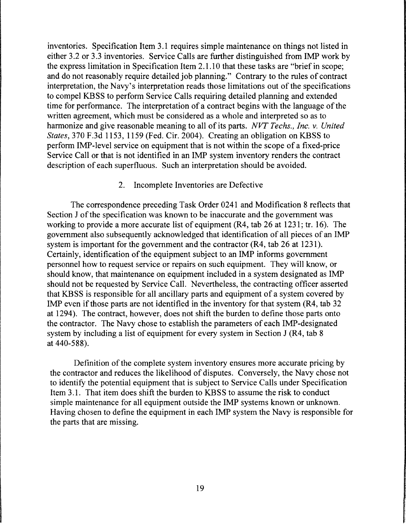inventories. Specification Item 3.1 requires simple maintenance on things not listed in either 3 .2 or 3 .3 inventories. Service Calls are further distinguished from IMP work by the express limitation in Specification Item 2.1.10 that these tasks are "brief in scope; and do not reasonably require detailed job planning." Contrary to the rules of contract interpretation, the Navy's interpretation reads those limitations out of the specifications to compel KBSS to perform Service Calls requiring detailed planning and extended time for performance. The interpretation of a contract begins with the language of the written agreement, which must be considered as a whole and interpreted so as to harmonize and give reasonable meaning to all of its parts. *NVT Techs., Inc.* v. *United States,* 370 F.3d 1153, 1159 (Fed. Cir. 2004). Creating an obligation on KBSS to perform IMP-level service on equipment that is not within the scope of a fixed-price Service Call or that is not identified in an IMP system inventory renders the contract description of each superfluous. Such an interpretation should be avoided.

### 2. Incomplete Inventories are Defective

The correspondence preceding Task Order 0241 and Modification 8 reflects that Section J of the specification was known to be inaccurate and the government was working to provide a more accurate list of equipment (R4, tab 26 at 1231; tr. 16). The government also subsequently acknowledged that identification of all pieces of an IMP system is important for the government and the contractor (R4, tab 26 at 1231). Certainly, identification of the equipment subject to an IMP informs government personnel how to request service or repairs on such equipment. They will know, or should know, that maintenance on equipment included in a system designated as IMP should not be requested by Service Call. Nevertheless, the contracting officer asserted that KBSS is responsible for all ancillary parts and equipment of a system covered by IMP even if those parts are not identified in the inventory for that system (R4, tab 32 at 1294). The contract, however, does not shift the burden to define those parts onto the contractor. The Navy chose to establish the parameters of each IMP-designated system by including a list of equipment for every system in Section J (R4, tab 8 at 440-588).

Definition of the complete system inventory ensures more accurate pricing by the contractor and reduces the likelihood of disputes. Conversely, the Navy chose not to identify the potential equipment that is subject to Service Calls under Specification Item 3.1. That item does shift the burden to KBSS to assume the risk to conduct simple maintenance for all equipment outside the IMP systems known or unknown. Having chosen to define the equipment in each IMP system the Navy is responsible for the parts that are missing.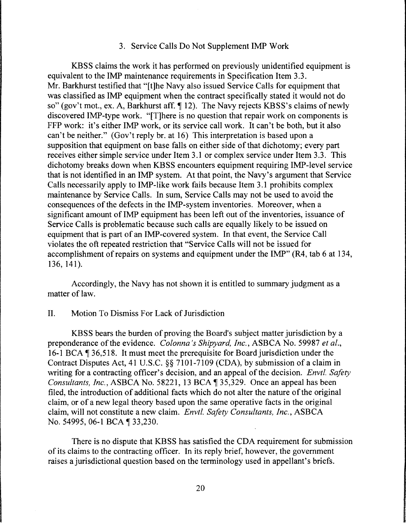#### 3. Service Calls Do Not Supplement IMP Work

KBSS claims the work it has performed on previously unidentified equipment is equivalent to the IMP maintenance requirements in Specification Item 3.3. Mr. Barkhurst testified that "[t]he Navy also issued Service Calls for equipment that was classified as IMP equipment when the contract specifically stated it would not do so" (gov't mot., ex. A, Barkhurst aff. 12). The Navy rejects KBSS's claims of newly discovered IMP-type work. "[T]here is no question that repair work on components is FFP work: it's either IMP work, or its service call work. It can't be both, but it also can't be neither." (Gov't reply br. at 16) This interpretation is based upon a supposition that equipment on base falls on either side of that dichotomy; every part receives either simple service under Item 3.1 or complex service under Item 3.3. This dichotomy breaks down when KBSS encounters equipment requiring IMP-level service that is not identified in an IMP system. At that point, the Navy's argument that Service Calls necessarily apply to IMP-like work fails because Item 3.1 prohibits complex maintenance by Service Calls. In sum, Service Calls may not be used to avoid the consequences of the defects in the IMP-system inventories. Moreover, when a significant amount of IMP equipment has been left out of the inventories, issuance of Service Calls is problematic because such calls are equally likely to be issued on equipment that is part of an IMP-covered system. In that event, the Service Call violates the oft repeated restriction that "Service Calls will not be issued for accomplishment of repairs on systems and equipment under the IMP" (R4, tab 6 at 134, 136, 141).

Accordingly, the Navy has not shown it is entitled to summary judgment as a matter of law.

### II. Motion To Dismiss For Lack of Jurisdiction

KBSS bears the burden of proving the Board's subject matter jurisdiction by a preponderance of the evidence. *Colonna 's Shipyard, Inc.,* ASBCA No. 59987 *et al.,*  16-1 BCA 136,518. It must meet the prerequisite for Board jurisdiction under the Contract Disputes Act, 41 U.S.C. §§ 7101-7109 (CDA), by submission of a claim in writing for a contracting officer's decision, and an appeal of the decision. *Envtl. Safety Consultants, Inc., ASBCA No.* 58221, 13 BCA ¶ 35,329. Once an appeal has been filed, the introduction of additional facts which do not alter the nature of the original claim, or of a new legal theory based upon the same operative facts in the original claim, will not constitute a new claim. *Envtl. Safety Consultants, Inc.,* ASBCA No. 54995, 06-1 BCA ¶ 33,230.

There is no dispute that KBSS has satisfied the CDA requirement for submission of its claims to the contracting officer. In its reply brief, however, the government raises a jurisdictional question based on the terminology used in appellant's briefs.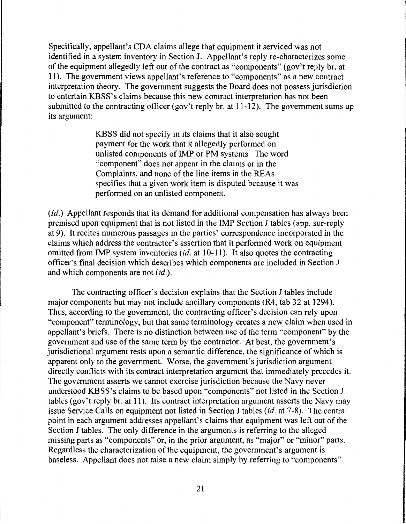Specifically, appellant's CDA claims allege that equipment it serviced was not identified in a system inventory in Section J. Appellant's reply re-characterizes some of the equipment allegedly left out of the contract as "components" (gov't reply br. at 11). The government views appellant's reference to "components" as a new contract interpretation theory. The government suggests the Board does not possess jurisdiction to entertain KBSS's claims because this new contract interpretation has not been submitted to the contracting officer (gov't reply br. at 11-12). The government sums up its argument:

> KBSS did not specify in its claims that it also sought payment for the work that it allegedly performed on unlisted components of IMP or PM systems. The word "component" does not appear in the claims or in the Complaints, and none of the line items in the REAs specifies that a given work item is disputed because it was performed on an unlisted component.

*(Id.)* Appellant responds that its demand for additional compensation has always been premised upon equipment that is not listed in the IMP Section J tables (app. sur-reply at 9). It recites numerous passages in the parties' correspondence incorporated in the claims which address the contractor's assertion that it performed work on equipment omitted from IMP system inventories *(id.* at 10-11 ). It also quotes the contracting officer's final decision which describes which components are included in Section J and which components are not *(id.).* 

The contracting officer's decision explains that the Section J tables include major components but may not include ancillary components (R4, tab 32 at 1294). Thus, according to the government, the contracting officer's decision can rely upon "component" terminology, but that same terminology creates a new claim when used in appellant's briefs. There is no distinction between use of the term "component" by the government and use of the same term by the contractor. At best, the government's jurisdictional argument rests upon a semantic difference, the significance of which is apparent only to the government. Worse, the government's jurisdiction argument directly conflicts with its contract interpretation argument that immediately precedes it. The government asserts we cannot exercise jurisdiction because the Navy never understood KBSS's claims to be based upon "components" not listed in the Section J tables (gov't reply br. at 11 ). Its contract interpretation argument asserts the Navy may issue Service Calls on equipment not listed in Section J tables *(id.* at 7-8). The central point in each argument addresses appellant's claims that equipment was left out of the Section J tables. The only difference in the arguments is referring to the alleged missing parts as "components" or, in the prior argument, as "major" or "minor" parts. Regardless the characterization of the equipment, the government's argument is baseless. Appellant does not raise a new claim simply by referring to "components"